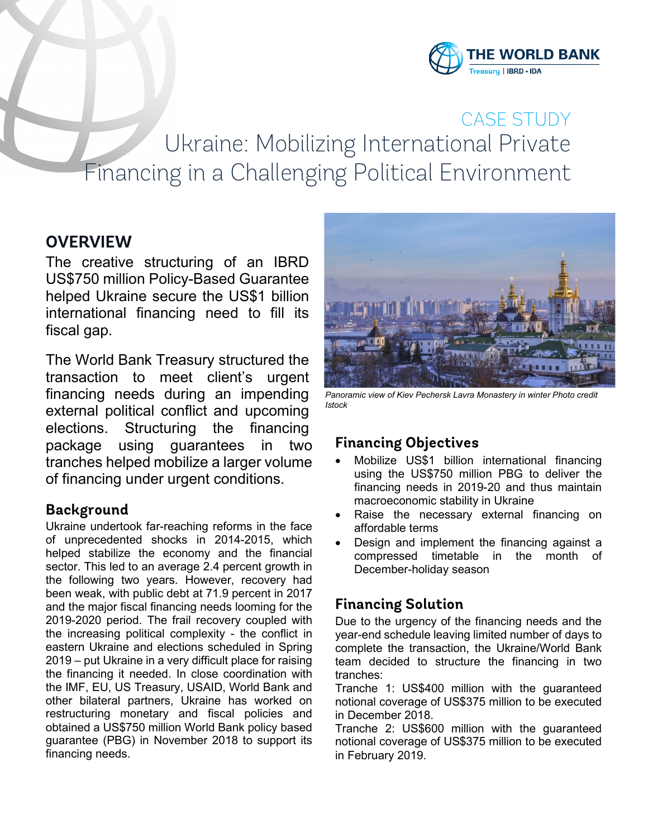

# CASE STUDY Ukraine: Mobilizing International Private Financing in a Challenging Political Environment

## **OVERVIEW**

The creative structuring of an IBRD US\$750 million Policy-Based Guarantee helped Ukraine secure the US\$1 billion international financing need to fill its fiscal gap.

The World Bank Treasury structured the transaction to meet client's urgent financing needs during an impending external political conflict and upcoming elections. Structuring the financing package using guarantees in two tranches helped mobilize a larger volume of financing under urgent conditions.

#### **Background**

Ukraine undertook far-reaching reforms in the face of unprecedented shocks in 2014-2015, which helped stabilize the economy and the financial sector. This led to an average 2.4 percent growth in the following two years. However, recovery had been weak, with public debt at 71.9 percent in 2017 and the major fiscal financing needs looming for the 2019-2020 period. The frail recovery coupled with the increasing political complexity - the conflict in eastern Ukraine and elections scheduled in Spring 2019 – put Ukraine in a very difficult place for raising the financing it needed. In close coordination with the IMF, EU, US Treasury, USAID, World Bank and other bilateral partners, Ukraine has worked on restructuring monetary and fiscal policies and obtained a US\$750 million World Bank policy based guarantee (PBG) in November 2018 to support its financing needs.



Panoramic view of Kiev Pechersk Lavra Monastery in winter Photo credit *Istock*

#### **Financing Objectives**

- Mobilize US\$1 billion international financing using the US\$750 million PBG to deliver the financing needs in 2019-20 and thus maintain macroeconomic stability in Ukraine
- Raise the necessary external financing on affordable terms
- Design and implement the financing against a compressed timetable in the month of December-holiday season

## **Financing Solution**

Due to the urgency of the financing needs and the year-end schedule leaving limited number of days to complete the transaction, the Ukraine/World Bank team decided to structure the financing in two tranches:

Tranche 1: US\$400 million with the guaranteed notional coverage of US\$375 million to be executed in December 2018.

Tranche 2: US\$600 million with the guaranteed notional coverage of US\$375 million to be executed in February 2019.